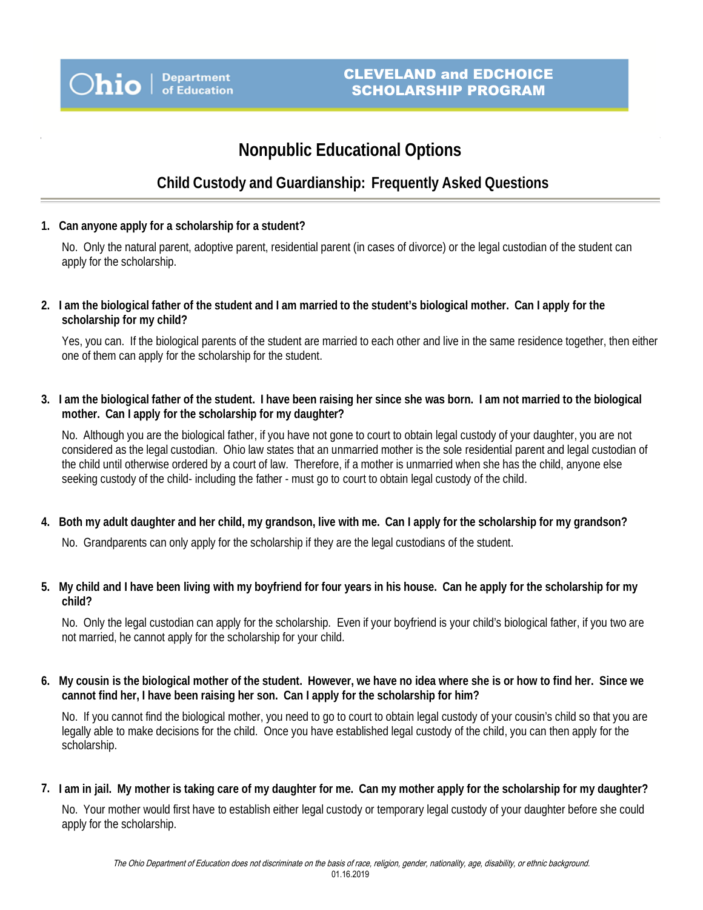# **Nonpublic Educational Options**

## **Child Custody and Guardianship: Frequently Asked Questions**

**1. Can anyone apply for a scholarship for a student?**

No. Only the natural parent, adoptive parent, residential parent (in cases of divorce) or the legal custodian of the student can apply for the scholarship.

**2. I am the biological father of the student and I am married to the student's biological mother. Can I apply for the scholarship for my child?**

Yes, you can. If the biological parents of the student are married to each other and live in the same residence together, then either one of them can apply for the scholarship for the student.

**3. I am the biological father of the student. I have been raising her since she was born. I am not married to the biological mother. Can I apply for the scholarship for my daughter?**

No. Although you are the biological father, if you have not gone to court to obtain legal custody of your daughter, you are not considered as the legal custodian. Ohio law states that an unmarried mother is the sole residential parent and legal custodian of the child until otherwise ordered by a court of law. Therefore, if a mother is unmarried when she has the child, anyone else seeking custody of the child- including the father - must go to court to obtain legal custody of the child.

**4. Both my adult daughter and her child, my grandson, live with me. Can I apply for the scholarship for my grandson?**

No. Grandparents can only apply for the scholarship if they are the legal custodians of the student.

**5. My child and I have been living with my boyfriend for four years in his house. Can he apply for the scholarship for my child?**

No. Only the legal custodian can apply for the scholarship. Even if your boyfriend is your child's biological father, if you two are not married, he cannot apply for the scholarship for your child.

**6. My cousin is the biological mother of the student. However, we have no idea where she is or how to find her. Since we cannot find her, I have been raising her son. Can I apply for the scholarship for him?**

No. If you cannot find the biological mother, you need to go to court to obtain legal custody of your cousin's child so that you are legally able to make decisions for the child. Once you have established legal custody of the child, you can then apply for the scholarship.

**7. I am in jail. My mother is taking care of my daughter for me. Can my mother apply for the scholarship for my daughter?**

No. Your mother would first have to establish either legal custody or temporary legal custody of your daughter before she could apply for the scholarship.